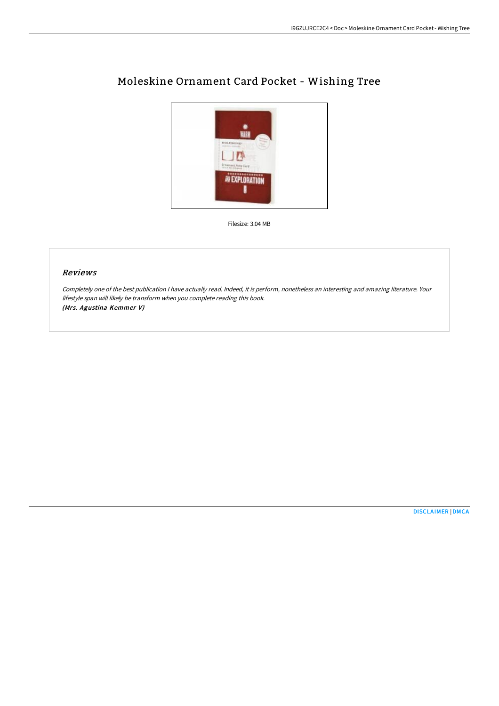

# Moleskine Ornament Card Pocket - Wishing Tree

Filesize: 3.04 MB

# Reviews

Completely one of the best publication <sup>I</sup> have actually read. Indeed, it is perform, nonetheless an interesting and amazing literature. Your lifestyle span will likely be transform when you complete reading this book. (Mrs. Agustina Kemmer V)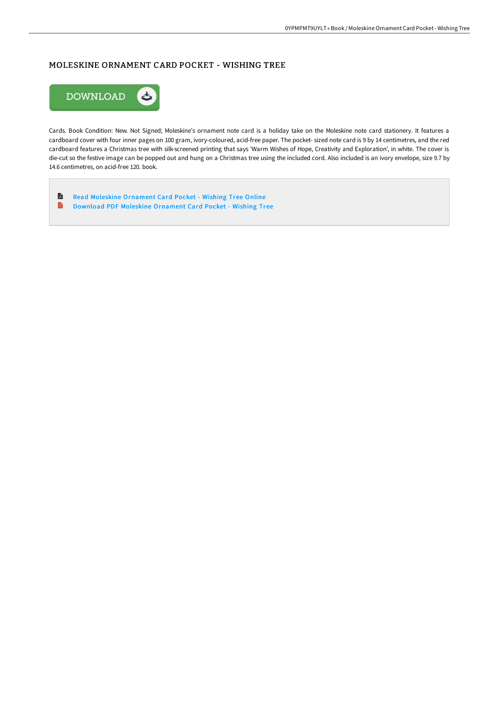## MOLESKINE ORNAMENT CARD POCKET - WISHING TREE



Cards. Book Condition: New. Not Signed; Moleskine's ornament note card is a holiday take on the Moleskine note card stationery. It features a cardboard cover with four inner pages on 100 gram, ivory-coloured, acid-free paper. The pocket- sized note card is 9 by 14 centimetres, and the red cardboard features a Christmas tree with silk-screened printing that says 'Warm Wishes of Hope, Creativity and Exploration', in white. The cover is die-cut so the festive image can be popped out and hung on a Christmas tree using the included cord. Also included is an ivory envelope, size 9.7 by 14.6 centimetres, on acid-free 120. book.

 $\blacksquare$ Read Moleskine [Ornament](http://techno-pub.tech/moleskine-ornament-card-pocket-wishing-tree.html) Card Pocket - Wishing Tree Online  $\blacksquare$ Download PDF Moleskine [Ornament](http://techno-pub.tech/moleskine-ornament-card-pocket-wishing-tree.html) Card Pocket - Wishing Tree